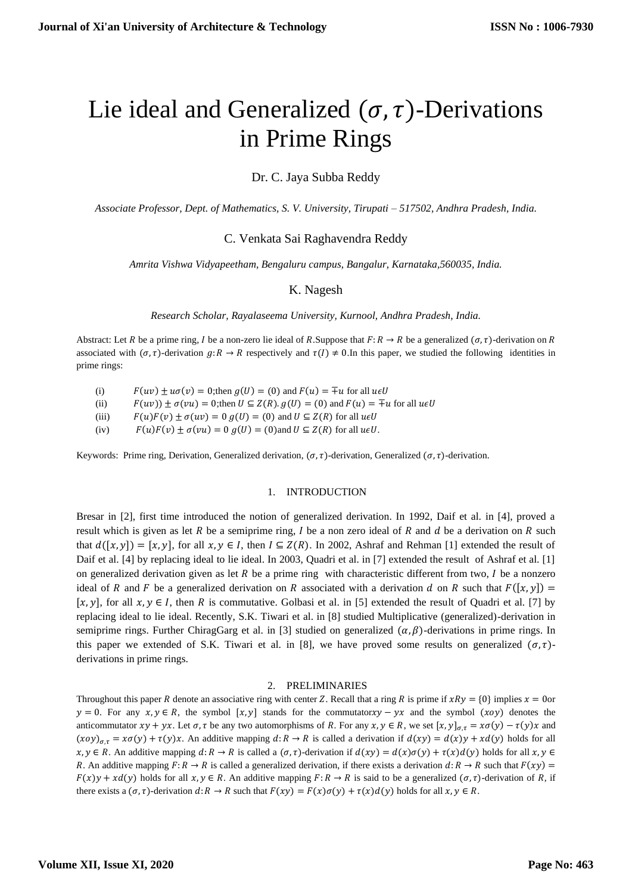# Lie ideal and Generalized  $(\sigma, \tau)$ -Derivations in Prime Rings

Dr. C. Jaya Subba Reddy

*Associate Professor, Dept. of Mathematics, S. V. University, Tirupati – 517502, Andhra Pradesh, India.*

## C. Venkata Sai Raghavendra Reddy

*Amrita Vishwa Vidyapeetham, Bengaluru campus, Bangalur, Karnataka,560035, India.*

### K. Nagesh

*Research Scholar, Rayalaseema University, Kurnool, Andhra Pradesh, India.*

Abstract: Let R be a prime ring, I be a non-zero lie ideal of R.Suppose that  $F: R \to R$  be a generalized  $(\sigma, \tau)$ -derivation on R associated with  $(\sigma, \tau)$ -derivation  $g: R \to R$  respectively and  $\tau(I) \neq 0$ . In this paper, we studied the following identities in prime rings:

(i)  $F(uv) \pm u\sigma(v) = 0$ ; then  $g(U) = (0)$  and  $F(u) = \pm u$  for all  $u \in U$ 

(ii)  $F(uv) \pm \sigma(vu) = 0$ ; then  $U \subseteq Z(R)$ .  $g(U) = (0)$  and  $F(u) = \pm u$  for all  $u \in U$ 

(iii)  $F(u)F(v) \pm \sigma(uv) = 0$   $g(U) = (0)$  and  $U \subseteq Z(R)$  for all  $u \in U$ 

(iv)  $F(u)F(v) \pm \sigma(vu) = 0$   $g(U) = (0)$  and  $U \subseteq Z(R)$  for all  $u \in U$ .

Keywords: Prime ring, Derivation, Generalized derivation,  $(\sigma, \tau)$ -derivation, Generalized  $(\sigma, \tau)$ -derivation.

#### 1. INTRODUCTION

Bresar in [2], first time introduced the notion of generalized derivation. In 1992, Daif et al. in [4], proved a result which is given as let  $R$  be a semiprime ring,  $I$  be a non zero ideal of  $R$  and  $d$  be a derivation on  $R$  such that  $d([x, y]) = [x, y]$ , for all  $x, y \in I$ , then  $I \subseteq Z(R)$ . In 2002, Ashraf and Rehman [1] extended the result of Daif et al. [4] by replacing ideal to lie ideal. In 2003, Quadri et al. in [7] extended the result of Ashraf et al. [1] on generalized derivation given as let  $R$  be a prime ring with characteristic different from two,  $I$  be a nonzero ideal of R and F be a generalized derivation on R associated with a derivation d on R such that  $F([x, y]) =$ [ $x, y$ ], for all  $x, y \in I$ , then R is commutative. Golbasi et al. in [5] extended the result of Quadri et al. [7] by replacing ideal to lie ideal. Recently, S.K. Tiwari et al. in [8] studied Multiplicative (generalized)-derivation in semiprime rings. Further ChiragGarg et al. in [3] studied on generalized  $(\alpha, \beta)$ -derivations in prime rings. In this paper we extended of S.K. Tiwari et al. in [8], we have proved some results on generalized  $(\sigma, \tau)$ derivations in prime rings.

#### 2. PRELIMINARIES

Throughout this paper R denote an associative ring with center Z. Recall that a ring R is prime if  $xRy = \{0\}$  implies  $x = 0$ or  $y = 0$ . For any  $x, y \in R$ , the symbol  $[x, y]$  stands for the commutator  $xy - yx$  and the symbol  $(xoy)$  denotes the anticommutator  $xy + yx$ . Let  $\sigma$ ,  $\tau$  be any two automorphisms of R. For any  $x, y \in R$ , we set  $[x, y]_{\sigma,\tau} = x\sigma(y) - \tau(y)x$  and  $(xoy)_{\sigma,\tau} = x\sigma(y) + \tau(y)x$ . An additive mapping  $d: R \to R$  is called a derivation if  $d(xy) = d(x)y + xd(y)$  holds for all  $x, y \in R$ . An additive mapping  $d: R \to R$  is called a  $(\sigma, \tau)$ -derivation if  $d(xy) = d(x)\sigma(y) + \tau(x)d(y)$  holds for all  $x, y \in R$ . R. An additive mapping  $F: R \to R$  is called a generalized derivation, if there exists a derivation  $d: R \to R$  such that  $F(xy) =$  $F(x)y + xd(y)$  holds for all  $x, y \in R$ . An additive mapping  $F: R \to R$  is said to be a generalized  $(\sigma, \tau)$ -derivation of R, if there exists a  $(\sigma, \tau)$ -derivation  $d: R \to R$  such that  $F(xy) = F(x)\sigma(y) + \tau(x)d(y)$  holds for all  $x, y \in R$ .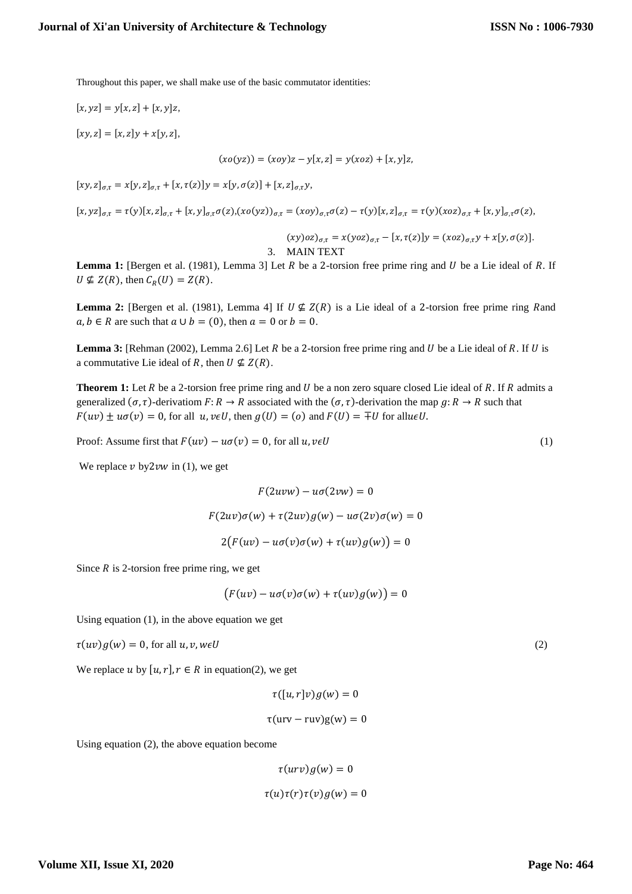Throughout this paper, we shall make use of the basic commutator identities:

 $[x, yz] = y[x, z] + [x, y]z,$ 

 $[xy, z] = [x, z]y + x[y, z],$ 

$$
(xo(yz)) = (xoy)z - y[x, z] = y(xoz) + [x, y]z,
$$

 $[x y, z]_{\sigma, \tau} = x [y, z]_{\sigma, \tau} + [x, \tau(z)] y = x [y, \sigma(z)] + [x, z]_{\sigma, \tau} y,$ 

 $[x, yz]_{\sigma,\tau} = \tau(y)[x, z]_{\sigma,\tau} + [x, y]_{\sigma,\tau}\sigma(z), (x\sigma(yz))_{\sigma,\tau} = (x\sigma y)_{\sigma,\tau}\sigma(z) - \tau(y)[x, z]_{\sigma,\tau} = \tau(y)(x\sigma z)_{\sigma,\tau} + [x, y]_{\sigma,\tau}\sigma(z),$ 

$$
(xy)oz)_{\sigma,\tau} = x(yoz)_{\sigma,\tau} - [x, \tau(z)]y = (xoz)_{\sigma,\tau}y + x[y, \sigma(z)].
$$
  
3. MAIN TEXT

**Lemma 1:** [Bergen et al. (1981), Lemma 3] Let  $R$  be a 2-torsion free prime ring and  $U$  be a Lie ideal of  $R$ . If  $U \nsubseteq Z(R)$ , then  $C_R(U) = Z(R)$ .

**Lemma 2:** [Bergen et al. (1981), Lemma 4] If  $U \not\subseteq Z(R)$  is a Lie ideal of a 2-torsion free prime ring Rand  $a, b \in R$  are such that  $a \cup b = (0)$ , then  $a = 0$  or  $b = 0$ .

**Lemma 3:** [Rehman (2002), Lemma 2.6] Let  $R$  be a 2-torsion free prime ring and  $U$  be a Lie ideal of  $R$ . If  $U$  is a commutative Lie ideal of R, then  $U \nsubseteq Z(R)$ .

**Theorem 1:** Let  $R$  be a 2-torsion free prime ring and  $U$  be a non zero square closed Lie ideal of  $R$ . If  $R$  admits a generalized  $(\sigma, \tau)$ -derivatiom  $F: R \to R$  associated with the  $(\sigma, \tau)$ -derivation the map  $g: R \to R$  such that  $F(uv) \pm u\sigma(v) = 0$ , for all  $u, v \in U$ , then  $g(U) = (o)$  and  $F(U) = \pm U$  for all  $u \in U$ .

Proof: Assume first that  $F(uv) - u\sigma(v) = 0$ , for all  $u, v \in U$  (1)

We replace  $v$  by2 $vw$  in (1), we get

$$
F(2uvw) - u\sigma(2vw) = 0
$$

$$
F(2uv)\sigma(w) + \tau(2uv)g(w) - u\sigma(2v)\sigma(w) = 0
$$

$$
2(F(uv) - u\sigma(v)\sigma(w) + \tau(uv)g(w)) = 0
$$

Since  $R$  is 2-torsion free prime ring, we get

$$
(F(uv) - u\sigma(v)\sigma(w) + \tau(uv)g(w)) = 0
$$

Using equation (1), in the above equation we get

$$
\tau(uv)g(w) = 0, \text{ for all } u, v, w \in U
$$
\n<sup>(2)</sup>

We replace u by  $[u, r]$ ,  $r \in R$  in equation(2), we get

$$
\tau([u,r]v)g(w)=0
$$

$$
\tau(urv - ruv)g(w) = 0
$$

Using equation (2), the above equation become

$$
\tau(urv)g(w) = 0
$$

$$
\tau(u)\tau(r)\tau(v)g(w) = 0
$$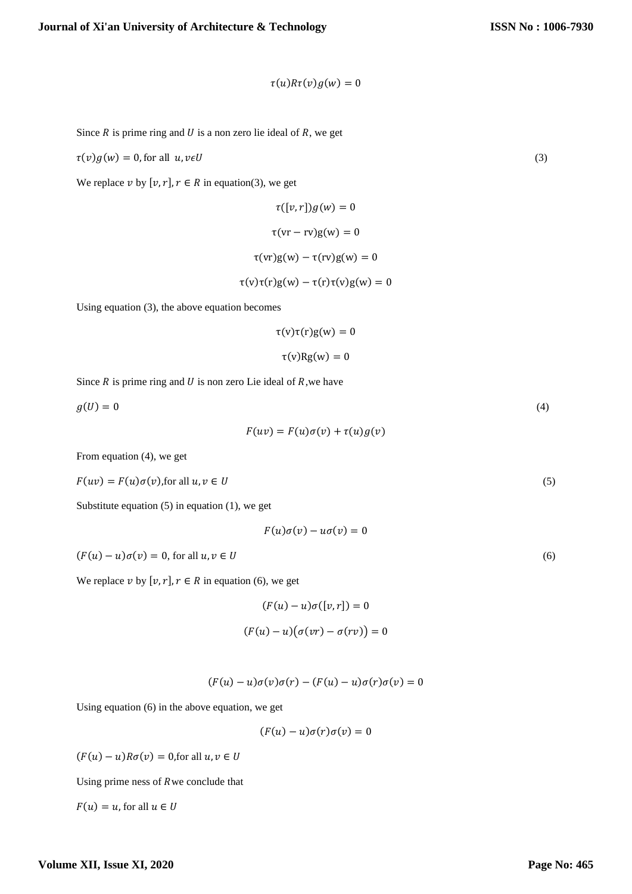$$
\tau(u)R\tau(v)g(w)=0
$$

Since  $R$  is prime ring and  $U$  is a non zero lie ideal of  $R$ , we get

$$
\tau(v)g(w) = 0, \text{for all } u, v \in U
$$
\n<sup>(3)</sup>

We replace  $v$  by  $[v, r]$ ,  $r \in R$  in equation(3), we get

$$
\tau([v,r])g(w) = 0
$$

$$
\tau(vr - rv)g(w) = 0
$$

$$
\tau(vr)g(w) - \tau(rv)g(w) = 0
$$

$$
\tau(v)\tau(r)g(w) - \tau(r)\tau(v)g(w) = 0
$$

Using equation (3), the above equation becomes

$$
\tau(v)\tau(r)g(w) = 0
$$

$$
\tau(v)Rg(w) = 0
$$

Since  $R$  is prime ring and  $U$  is non zero Lie ideal of  $R$ , we have

$$
g(U) = 0 \tag{4}
$$

 $F(uv) = F(u)\sigma(v) + \tau(u)g(v)$ 

From equation (4), we get

$$
F(uv) = F(u)\sigma(v)
$$
, for all  $u, v \in U$  (5)

Substitute equation  $(5)$  in equation  $(1)$ , we get

$$
F(u)\sigma(v)-u\sigma(v)=0
$$

 $(F(u) - u)\sigma(v) = 0$ , for all  $u, v \in U$  (6)

We replace  $v$  by  $[v, r]$ ,  $r \in R$  in equation (6), we get

$$
(F(u) - u)\sigma([v, r]) = 0
$$

$$
(F(u) - u)(\sigma(vr) - \sigma(rv)) = 0
$$

$$
(F(u) - u)\sigma(v)\sigma(r) - (F(u) - u)\sigma(r)\sigma(v) = 0
$$

Using equation (6) in the above equation, we get

$$
(F(u) - u)\sigma(r)\sigma(v) = 0
$$

 $(F(u) - u)R\sigma(v) = 0$ , for all  $u, v \in U$ 

Using prime ness of  $R$  we conclude that

 $F(u) = u$ , for all  $u \in U$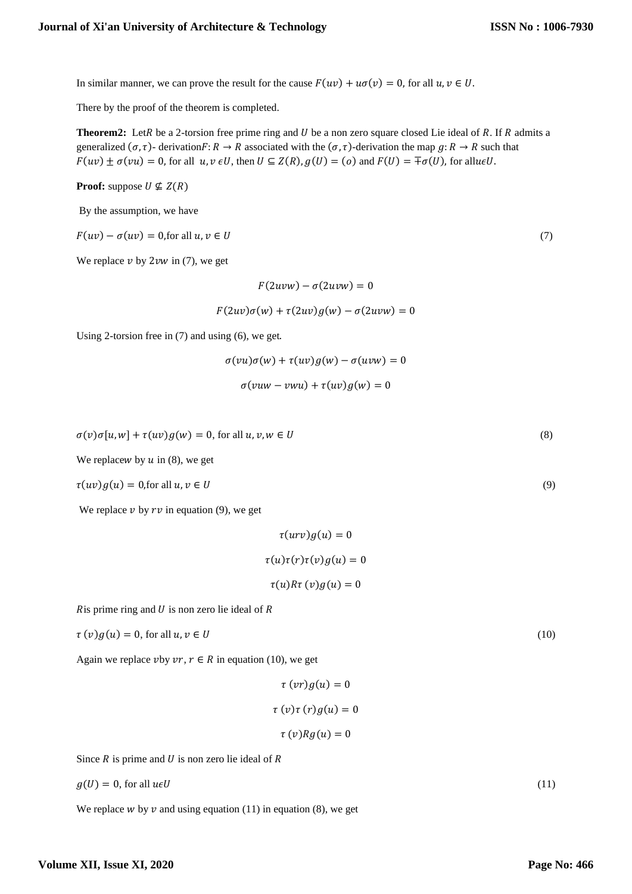In similar manner, we can prove the result for the cause  $F(uv) + u\sigma(v) = 0$ , for all  $u, v \in U$ .

There by the proof of the theorem is completed.

**Theorem2:** LetR be a 2-torsion free prime ring and  $U$  be a non zero square closed Lie ideal of  $R$ . If  $R$  admits a generalized  $(\sigma, \tau)$ - derivation $F: R \to R$  associated with the  $(\sigma, \tau)$ -derivation the map  $g: R \to R$  such that  $F(uv) \pm \sigma(vu) = 0$ , for all  $u, v \in U$ , then  $U \subseteq Z(R)$ ,  $g(U) = (o)$  and  $F(U) = \pm \sigma(U)$ , for all $u \in U$ .

**Proof:** suppose  $U \nsubseteq Z(R)$ 

By the assumption, we have

 $F(uv) - \sigma(uv) = 0$ , for all  $u, v \in U$  (7)

We replace  $v$  by  $2vw$  in (7), we get

 $F(2uvw) - \sigma(2uvw) = 0$ 

 $F(2uv)\sigma(w) + \tau(2uv)g(w) - \sigma(2uvw) = 0$ 

Using 2-torsion free in (7) and using (6), we get.

$$
\sigma(vu)\sigma(w) + \tau(uv)g(w) - \sigma(uvw) = 0
$$
  

$$
\sigma(vuw - vwu) + \tau(uv)g(w) = 0
$$

$$
\sigma(v)\sigma[u, w] + \tau(uv)g(w) = 0, \text{ for all } u, v, w \in U
$$
\n
$$
(8)
$$

We replace w by  $u$  in (8), we get

$$
\tau(uv)g(u) = 0 \text{,for all } u, v \in U
$$
\n<sup>(9)</sup>

We replace  $v$  by  $rv$  in equation (9), we get

$$
\tau(urv)g(u) = 0
$$

$$
\tau(u)\tau(r)\tau(v)g(u) = 0
$$

$$
\tau(u)R\tau(v)g(u) = 0
$$

 $R$  is prime ring and  $U$  is non zero lie ideal of  $R$ 

$$
\tau(v)g(u) = 0, \text{ for all } u, v \in U
$$
\n<sup>(10)</sup>

Again we replace vby  $vr, r \in R$  in equation (10), we get

$$
\tau (vr)g(u) = 0
$$

$$
\tau (v)\tau (r)g(u) = 0
$$

$$
\tau (v)Rg(u) = 0
$$

Since  $R$  is prime and  $U$  is non zero lie ideal of  $R$ 

$$
g(U) = 0, \text{ for all } u \in U
$$
\n<sup>(11)</sup>

We replace  $w$  by  $v$  and using equation (11) in equation (8), we get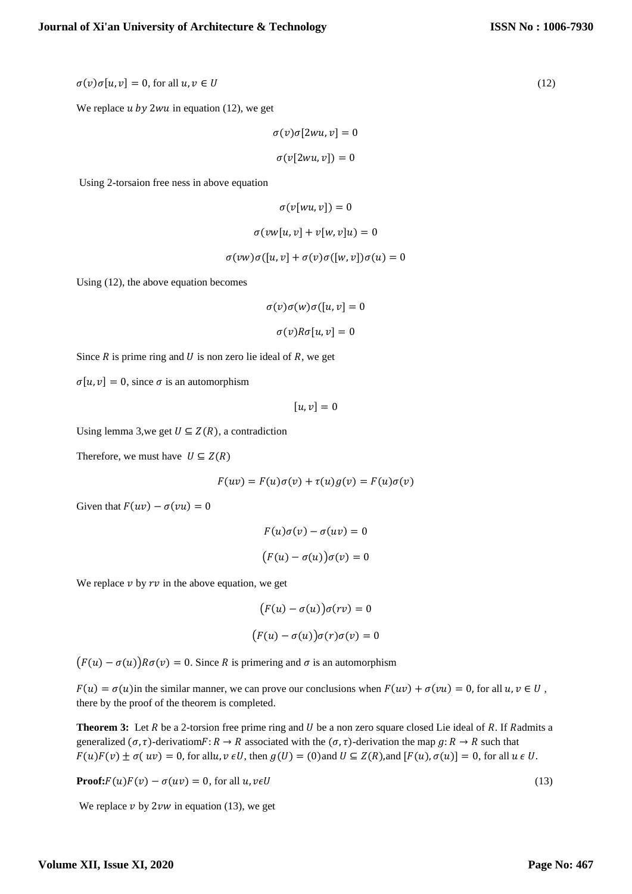$\sigma(v)\sigma[u, v] = 0$ , for all  $u, v \in U$  (12)

We replace  $u$  by 2wu in equation (12), we get

 $\sigma(v)\sigma[2wu, v] = 0$  $\sigma(v[2wu, v]) = 0$ 

Using 2-torsaion free ness in above equation

$$
\sigma(v[wu, v]) = 0
$$

$$
\sigma(vw[u, v] + v[w, v]u) = 0
$$

$$
\sigma(vw)\sigma([u,v]+\sigma(v)\sigma([w,v])\sigma(u)=0
$$

Using (12), the above equation becomes

$$
\sigma(v)\sigma(w)\sigma([u,v]=0
$$

$$
\sigma(v)R\sigma[u,v]=0
$$

Since  $R$  is prime ring and  $U$  is non zero lie ideal of  $R$ , we get

 $\sigma[u, v] = 0$ , since  $\sigma$  is an automorphism

$$
[u,v]=0
$$

Using lemma 3,we get  $U \subseteq Z(R)$ , a contradiction

Therefore, we must have  $U \subseteq Z(R)$ 

 $F(uv) = F(u)\sigma(v) + \tau(u)g(v) = F(u)\sigma(v)$ 

Given that  $F(uv) - \sigma(vu) = 0$ 

$$
F(u)\sigma(v) - \sigma(uv) = 0
$$

$$
(F(u) - \sigma(u))\sigma(v) = 0
$$

We replace  $\nu$  by  $rv$  in the above equation, we get

$$
(F(u) - \sigma(u))\sigma(rv) = 0
$$

$$
(F(u) - \sigma(u))\sigma(r)\sigma(v) = 0
$$

 $(F(u) - \sigma(u))R\sigma(v) = 0$ . Since R is primering and  $\sigma$  is an automorphism

 $F(u) = \sigma(u)$  in the similar manner, we can prove our conclusions when  $F(uv) + \sigma(vu) = 0$ , for all  $u, v \in U$ , there by the proof of the theorem is completed.

**Theorem 3:** Let  $R$  be a 2-torsion free prime ring and  $U$  be a non zero square closed Lie ideal of  $R$ . If  $R$  admits a generalized  $(\sigma, \tau)$ -derivatiom $F: R \to R$  associated with the  $(\sigma, \tau)$ -derivation the map  $g: R \to R$  such that  $F(u)F(v) \pm \sigma(uv) = 0$ , for all  $u, v \in U$ , then  $g(U) = (0)$  and  $U \subseteq Z(R)$ , and  $[F(u), \sigma(u)] = 0$ , for all  $u \in U$ .

**Proof:** $F(u)F(v) - \sigma(uv) = 0$ , for all  $u, v \in U$  (13)

We replace  $v$  by 2 $vw$  in equation (13), we get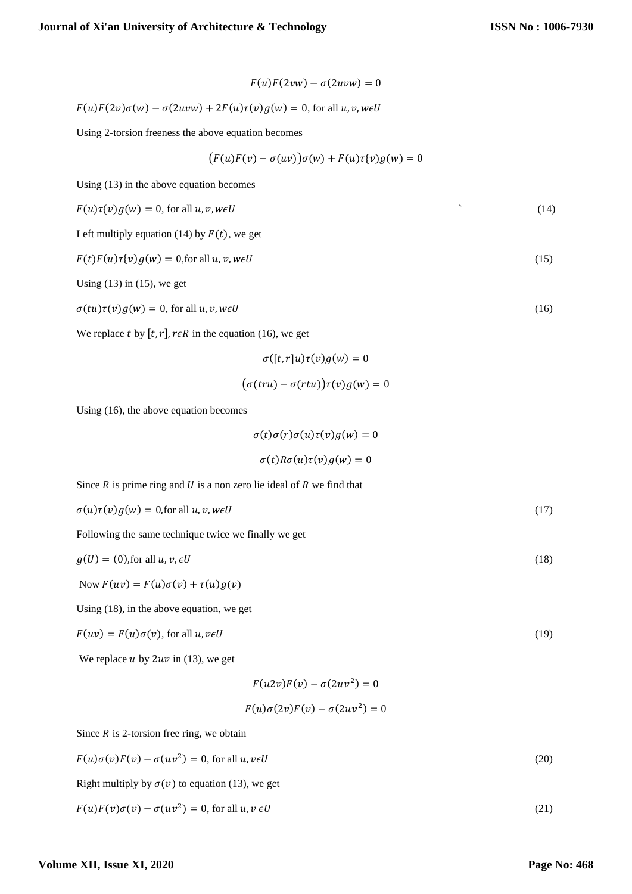$$
F(u)F(2vw) - \sigma(2uvw) = 0
$$

$$
F(u)F(2v)\sigma(w) - \sigma(2uvw) + 2F(u)\tau(v)g(w) = 0, \text{ for all } u, v, w \in U
$$

Using 2-torsion freeness the above equation becomes

$$
(F(u)F(v) - \sigma(uv))\sigma(w) + F(u)\tau(v)g(w) = 0
$$

Using (13) in the above equation becomes

$$
F(u)\tau(v)g(w) = 0, \text{ for all } u, v, w \in U
$$
\n
$$
(14)
$$

Left multiply equation (14) by  $F(t)$ , we get

$$
F(t)F(u)\tau\{v\}g(w) = 0, \text{for all } u, v, w \in U
$$
\n
$$
(15)
$$

Using  $(13)$  in  $(15)$ , we get

 $\sigma(tu)\tau(v)g(w) = 0$ , for all  $u, v, w \in U$  (16)

We replace t by  $[t, r]$ ,  $r \in R$  in the equation (16), we get

$$
\sigma([t, r]u)\tau(v)g(w) = 0
$$

$$
(\sigma(tru) - \sigma(rtu))\tau(v)g(w) = 0
$$

$$
(\sigma (tru) - \sigma (rtu))\tau (v)g(w) =
$$

Using (16), the above equation becomes

$$
\sigma(t)\sigma(r)\sigma(u)\tau(v)g(w)=0
$$

$$
\sigma(t)R\sigma(u)\tau(v)g(w)=0
$$

Since  $R$  is prime ring and  $U$  is a non zero lie ideal of  $R$  we find that

$$
\sigma(u)\tau(v)g(w) = 0 \text{, for all } u, v, w \in U
$$
\n
$$
(17)
$$

Following the same technique twice we finally we get

$$
g(U) = (0), \text{for all } u, v, \in U
$$
\n<sup>(18)</sup>

Now  $F(uv) = F(u)\sigma(v) + \tau(u)g(v)$ 

Using (18), in the above equation, we get

$$
F(uv) = F(u)\sigma(v), \text{ for all } u, v \in U
$$
\n<sup>(19)</sup>

We replace  $u$  by  $2uv$  in (13), we get

$$
F(u2v)F(v) - \sigma(2uv^2) = 0
$$

$$
F(u)\sigma(2v)F(v) - \sigma(2uv^2) = 0
$$

Since  $R$  is 2-torsion free ring, we obtain

$$
F(u)\sigma(v)F(v) - \sigma(uv^2) = 0, \text{ for all } u, v \in U
$$
\n
$$
(20)
$$

Right multiply by  $\sigma(v)$  to equation (13), we get

$$
F(u)F(v)\sigma(v) - \sigma(uv^2) = 0, \text{ for all } u, v \in U
$$
\n(21)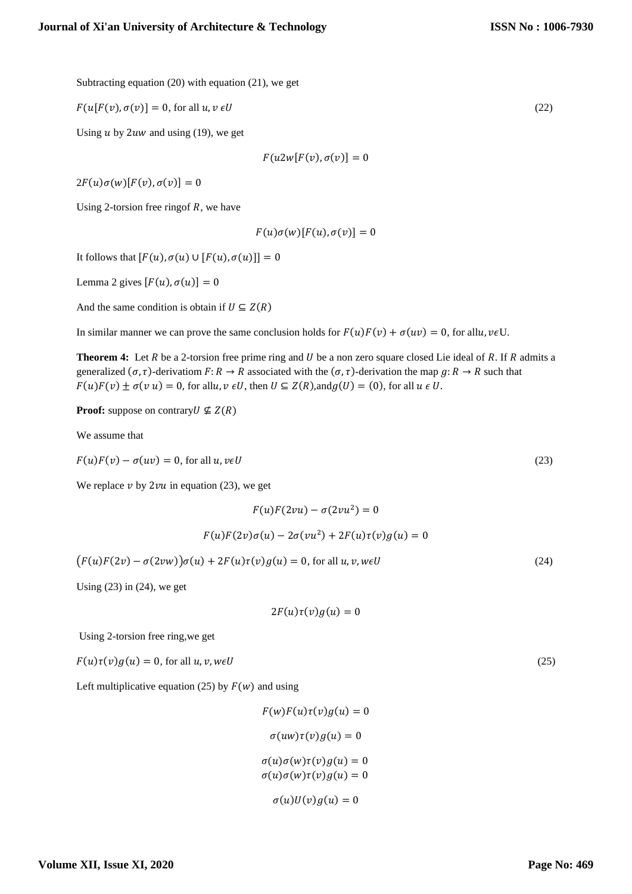Subtracting equation (20) with equation (21), we get

$$
F(u[F(v), \sigma(v)] = 0, \text{ for all } u, v \in U
$$
\n
$$
(22)
$$

Using  $u$  by 2uw and using (19), we get

$$
F(u2w[F(v),\sigma(v)]=0
$$

 $2F(u)\sigma(w)[F(v), \sigma(v)] = 0$ 

Using 2-torsion free ringof *, we have* 

 $F(u)\sigma(w)[F(u), \sigma(v)] = 0$ 

It follows that  $[F(u), \sigma(u) \cup [F(u), \sigma(u)]] = 0$ 

Lemma 2 gives  $[F(u), \sigma(u)] = 0$ 

And the same condition is obtain if  $U \subseteq Z(R)$ 

In similar manner we can prove the same conclusion holds for  $F(u)F(v) + \sigma(uv) = 0$ , for all $u, v \in U$ .

**Theorem 4:** Let  $R$  be a 2-torsion free prime ring and  $U$  be a non zero square closed Lie ideal of  $R$ . If  $R$  admits a generalized  $(\sigma, \tau)$ -derivatiom  $F: R \to R$  associated with the  $(\sigma, \tau)$ -derivation the map  $g: R \to R$  such that  $F(u)F(v) \pm \sigma(v \ u) = 0$ , for all  $u, v \in U$ , then  $U \subseteq Z(R)$ , and  $g(U) = (0)$ , for all  $u \in U$ .

**Proof:** suppose on contrary  $U \nsubseteq Z(R)$ 

We assume that

 $F(u)F(v) - \sigma(uv) = 0$ , for all  $u, v \in U$  (23)

We replace  $\nu$  by 2 $\nu$ u in equation (23), we get

 $F(u)F(2vu) - \sigma(2vu^2) = 0$ 

$$
F(u)F(2v)\sigma(u) - 2\sigma(vu^2) + 2F(u)\tau(v)g(u) = 0
$$

 $(F(u)F(2v) - \sigma(2vw))\sigma(u) + 2F(u)\tau(v)g(u) = 0$ , for all  $u, v, w \in U$  (24)

Using  $(23)$  in  $(24)$ , we get

$$
2F(u)\tau(v)g(u)=0
$$

Using 2-torsion free ring,we get

 $F(u)\tau(v)g(u) = 0$ , for all  $u, v, w \in U$  (25)

Left multiplicative equation (25) by  $F(w)$  and using

 $F(w)F(u)\tau(v)g(u) = 0$  $\sigma(uw)\tau(v)g(u) = 0$  $\sigma(u)\sigma(w)\tau(v)g(u) = 0$  $\sigma(u)\sigma(w)\tau(v)g(u) = 0$ 

 $\sigma(u)U(v)g(u) = 0$